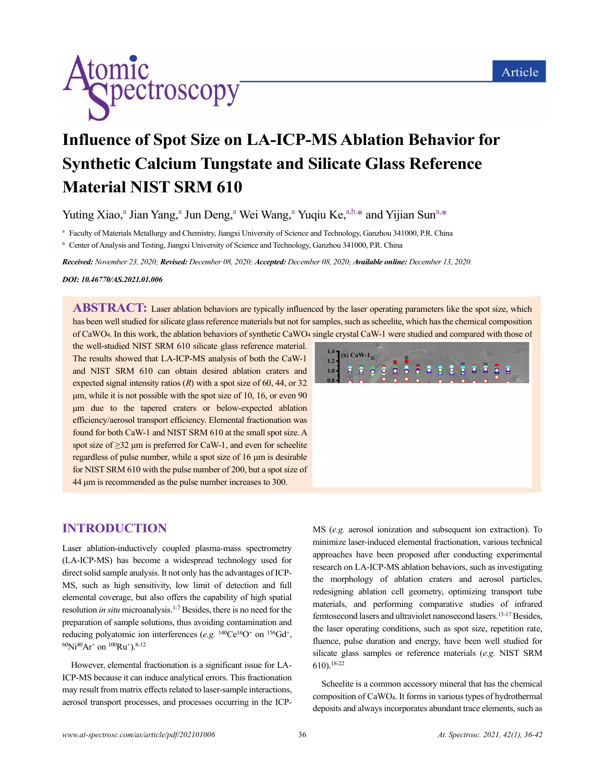

# **Influence of Spot Size on LA-ICP-MS Ablation Behavior for Synthetic Calcium Tungstate and Silicate Glass Reference Material NIST SRM 610**

Yuting Xiao,<sup>a</sup> Jian Yang,<sup>a</sup> Jun Deng,<sup>a</sup> Wei Wang,<sup>a</sup> Yuqiu Ke,<sup>a,b,\*</sup> and Yijian Sun<sup>a,\*</sup>

**<sup>a</sup>** Faculty of Materials Metallurgy and Chemistry, Jiangxi University of Science and Technology, Ganzhou 341000, P.R. China

**b** Center of Analysis and Testing, Jiangxi University of Science and Technology, Ganzhou 341000, P.R. China

*Received: November 23, 2020; Revised: December 08, 2020; Accepted: December 08, 2020; Available online: December 13, 2020.*

#### *DOI: 10.46770/AS.2021.01.006*

**ABSTRACT:** Laser ablation behaviors are typically influenced by the laser operating parameters like the spot size, which has been well studied for silicate glass reference materials but not for samples, such as scheelite, which has the chemical composition of CaWO4. In this work, the ablation behaviors of synthetic CaWO<sup>4</sup> single crystal CaW-1 were studied and compared with those of the well-studied NIST SRM 610 silicate glass reference material.

The results showed that LA-ICP-MS analysis of both the CaW-1 and NIST SRM 610 can obtain desired ablation craters and expected signal intensity ratios (*R*) with a spot size of 60, 44, or 32 μm, while it is not possible with the spot size of 10, 16, or even 90 μm due to the tapered craters or below-expected ablation efficiency/aerosol transport efficiency. Elemental fractionation was found for both CaW-1 and NIST SRM 610 at the small spot size. A spot size of  $\geq$ 32 µm is preferred for CaW-1, and even for scheelite regardless of pulse number, while a spot size of 16 μm is desirable for NIST SRM 610 with the pulse number of 200, but a spot size of 44 μm is recommended as the pulse number increases to 300.

## **INTRODUCTION**

Laser ablation-inductively coupled plasma-mass spectrometry (LA-ICP-MS) has become a widespread technology used for direct solid sample analysis. It not only has the advantages of ICP-MS, such as high sensitivity, low limit of detection and full elemental coverage, but also offers the capability of high spatial resolution *in situ* microanalysis. 1-7 Besides, there is no need for the preparation of sample solutions, thus avoiding contamination and reducing polyatomic ion interferences (e.g. <sup>140</sup>Ce<sup>16</sup>O<sup>+</sup> on <sup>156</sup>Gd<sup>+</sup>,  ${}^{60}\text{Ni}^{40}\text{Ar}^+$  on  ${}^{100}\text{Ru}^+$ ).  ${}^{8-12}$ 

However, elemental fractionation is a significant issue for LA-ICP-MS because it can induce analytical errors. This fractionation may result from matrix effects related to laser-sample interactions, aerosol transport processes, and processes occurring in the ICP- MS (*e.g.* aerosol ionization and subsequent ion extraction). To minimize laser-induced elemental fractionation, various technical approaches have been proposed after conducting experimental research on LA-ICP-MS ablation behaviors, such as investigating the morphology of ablation craters and aerosol particles, redesigning ablation cell geometry, optimizing transport tube materials, and performing comparative studies of infrared femtosecond lasers an[d ultraviolet](javascript:;) nanosecond lasers.<sup>13-17</sup> Besides, the laser operating conditions, such as spot size, repetition rate, fluence, pulse duration and energy, have been well studied for silicate glass samples or reference materials (*e.g.* NIST SRM 610).18-22

Scheelite is a common accessory mineral that has the chemical composition of CaWO4. It forms in various types of hydrothermal deposits and always incorporates abundant trace elements, such as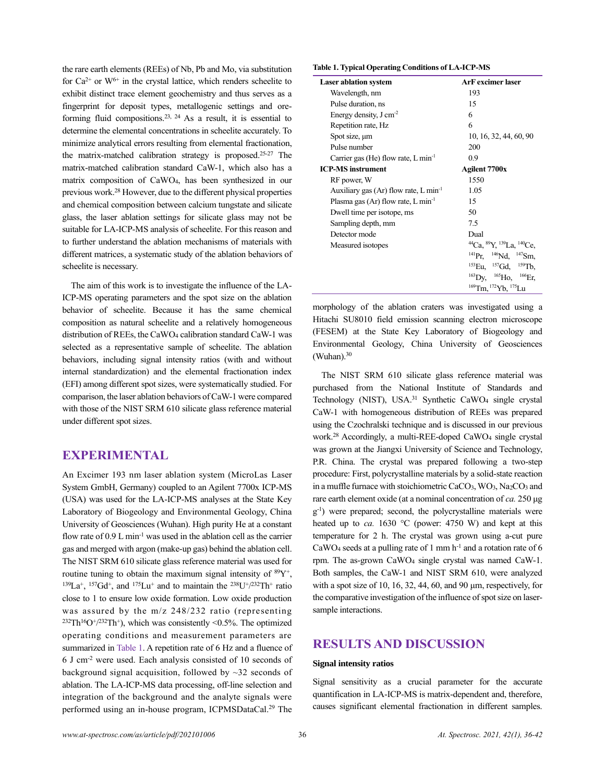the rare earth elements (REEs) of Nb, Pb and Mo, via substitution for  $Ca^{2+}$  or  $W^{6+}$  in the crystal lattice, which renders scheelite to exhibit distinct trace element geochemistry and thus serves as a fingerprint for deposit types, metallogenic settings and oreforming fluid compositions.<sup>23, 24</sup> As a result, it is essential to determine the elemental concentrations in scheelite accurately. To minimize analytical errors resulting from elemental fractionation, the matrix-matched calibration strategy is proposed.25-27 The matrix-matched calibration standard CaW-1, which also has a matrix composition of CaWO4, has been synthesized in our previous work.<sup>28</sup> However, due to the different physical properties and chemical composition between calcium tungstate and silicate glass, the laser ablation settings for silicate glass may not be suitable for LA-ICP-MS analysis of scheelite. For this reason and to further understand the ablation mechanisms of materials with different matrices, a systematic study of the ablation behaviors of scheelite is necessary.

The aim of this work is to investigate the influence of the LA-ICP-MS operating parameters and the spot size on the ablation behavior of scheelite. Because it has the same chemical composition as natural scheelite and a relatively homogeneous distribution of REEs, the CaWO<sup>4</sup> calibration standard CaW-1 was selected as a representative sample of scheelite. The ablation behaviors, including signal intensity ratios (with and without internal standardization) and the elemental fractionation index (EFI) among different spot sizes, were systematically studied. For comparison, the laser ablation behaviors of CaW-1 were compared with those of the NIST SRM 610 silicate glass reference material under different spot sizes.

## **EXPERIMENTAL**

An Excimer 193 nm laser ablation system (MicroLas Laser System GmbH, Germany) coupled to an Agilent 7700x ICP-MS (USA) was used for the LA-ICP-MS analyses at the State Key Laboratory of Biogeology and Environmental Geology, China University of Geosciences (Wuhan). High purity He at a constant flow rate of  $0.9$  L min<sup>-1</sup> was used in the ablation cell as the carrier gas and merged with argon (make-up gas) behind the ablation cell. The NIST SRM 610 silicate glass reference material was used for routine tuning to obtain the maximum signal intensity of  ${}^{89}Y^+$ ,  $^{139}La^{+}$ ,  $^{157}Gd^{+}$ , and  $^{175}Lu^{+}$  and to maintain the  $^{238}U^{+}/^{232}Th^{+}$  ratio close to 1 to ensure low oxide formation. Low oxide production was assured by the m/z 248/232 ratio (representing  $^{232}Th^{16}O^{+}/^{232}Th^{+}$ ), which was consistently <0.5%. The optimized operating conditions and measurement parameters are summarized in Table 1. A repetition rate of 6 Hz and a fluence of 6 J cm-2 were used. Each analysis consisted of 10 seconds of background signal acquisition, followed by  $\sim$ 32 seconds of ablation. The LA-ICP-MS data processing, off-line selection and integration of the background and the analyte signals were performed using an in-house program, ICPMSDataCal.<sup>29</sup> The

**Table 1. Typical Operating Conditions of LA-ICP-MS**

| <b>Laser ablation system</b>                       | <b>ArF</b> excimer laser                                |
|----------------------------------------------------|---------------------------------------------------------|
| Wavelength, nm                                     | 193                                                     |
| Pulse duration, ns                                 | 15                                                      |
| Energy density, $J \text{ cm}^{-2}$                | 6                                                       |
| Repetition rate, Hz                                | 6                                                       |
| Spot size, µm                                      | 10, 16, 32, 44, 60, 90                                  |
| Pulse number                                       | 200                                                     |
| Carrier gas (He) flow rate, $L \text{ min}^{-1}$   | 0.9                                                     |
| <b>ICP-MS</b> instrument                           | Agilent 7700x                                           |
| RF power, W                                        | 1550                                                    |
| Auxiliary gas (Ar) flow rate, $L \text{ min}^{-1}$ | 1.05                                                    |
| Plasma gas (Ar) flow rate, L min <sup>-1</sup>     | 15                                                      |
| Dwell time per isotope, ms                         | 50                                                      |
| Sampling depth, mm                                 | 7.5                                                     |
| Detector mode                                      | Dual                                                    |
| Measured isotopes                                  | ${}^{44}Ca, {}^{89}Y, {}^{139}La, {}^{140}Ce,$          |
|                                                    | $^{141}Pr.$ $^{146}Nd.$ $^{147}Sm.$                     |
|                                                    | $^{153}$ Eu, $^{157}$ Gd, $^{159}$ Tb,                  |
|                                                    | $^{163}$ Dy, $^{165}$ Ho, $^{166}$ Er,                  |
|                                                    | <sup>169</sup> Tm. <sup>172</sup> Yb. <sup>175</sup> Lu |

morphology of the ablation craters was investigated using a Hitachi SU8010 field emission scanning electron microscope (FESEM) at the State Key Laboratory of Biogeology and Environmental Geology, China University of Geosciences  $(Wuhan).<sup>30</sup>$ 

The NIST SRM 610 silicate glass reference material was purchased from the National Institute of Standards and Technology (NIST), USA.<sup>31</sup> Synthetic CaWO<sub>4</sub> single crystal CaW-1 with homogeneous distribution of REEs was prepared using the Czochralski technique and is discussed in our previous work.<sup>28</sup> Accordingly, a multi-REE-doped CaWO<sub>4</sub> single crystal was grown at the Jiangxi University of Science and Technology, P.R. China. The crystal was prepared following a two-step procedure: First, polycrystalline materials by a solid-state reaction in a muffle furnace with stoichiometric CaCO<sub>3</sub>, WO<sub>3</sub>, Na<sub>2</sub>CO<sub>3</sub> and rare earth element oxide (at a nominal concentration of *ca.* 250 μg g -1 ) were prepared; second, the polycrystalline materials were heated up to *ca.* 1630 °C (power: 4750 W) and kept at this temperature for 2 h. The crystal was grown using a-cut pure CaWO<sub>4</sub> seeds at a pulling rate of 1 mm  $h^{-1}$  and a rotation rate of 6 rpm. The as-grown CaWO<sup>4</sup> single crystal was named CaW-1. Both samples, the CaW-1 and NIST SRM 610, were analyzed with a spot size of 10, 16, 32, 44, 60, and 90 μm, respectively, for the comparative investigation of the influence of spot size on lasersample interactions.

## **RESULTS AND DISCUSSION**

#### **Signal intensity ratios**

Signal sensitivity as a crucial parameter for the accurate quantification in LA-ICP-MS is matrix-dependent and, therefore, causes significant elemental fractionation in different samples.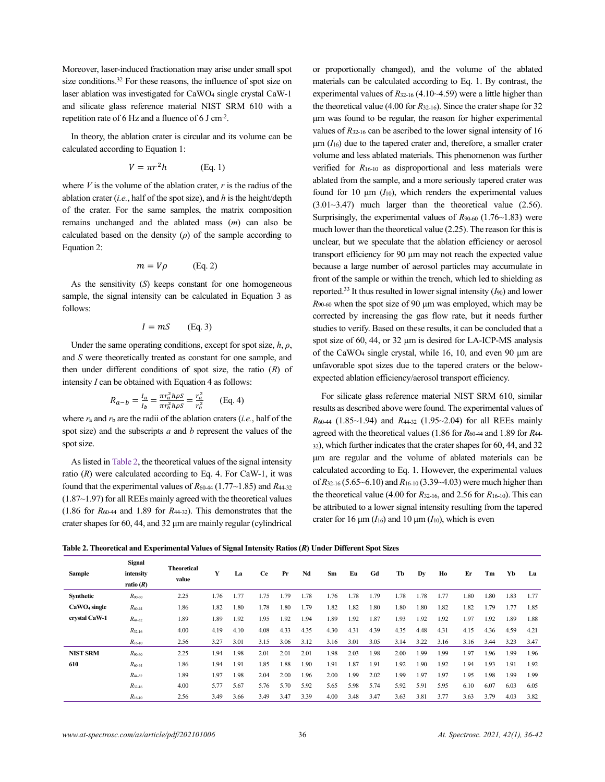Moreover, laser-induced fractionation may arise under small spot size conditions.<sup>32</sup> For these reasons, the influence of spot size on laser ablation was investigated for CaWO<sup>4</sup> single crystal CaW-1 and silicate glass reference material NIST SRM 610 with a repetition rate of 6 Hz and a fluence of 6 J cm<sup>-2</sup>.

In theory, the ablation crater is circular and its volume can be calculated according to Equation 1:

$$
V = \pi r^2 h \qquad \text{(Eq. 1)}
$$

where  $V$  is the volume of the ablation crater,  $r$  is the radius of the ablation crater (*i.e.*, half of the spot size), and *h* is the height/depth of the crater. For the same samples, the matrix composition remains unchanged and the ablated mass (*m*) can also be calculated based on the density (*ρ*) of the sample according to Equation 2:

$$
m = V\rho \qquad \text{(Eq. 2)}
$$

As the sensitivity (*S*) keeps constant for one homogeneous sample, the signal intensity can be calculated in Equation 3 as follows:

$$
I = mS \qquad (\text{Eq. 3})
$$

Under the same operating conditions, except for spot size, *h*, *ρ*, and *S* were theoretically treated as constant for one sample, and then under different conditions of spot size, the ratio (*R*) of intensity *I* can be obtained with Equation 4 as follows:

$$
R_{a-b} = \frac{I_a}{I_b} = \frac{\pi r_a^2 h \rho s}{\pi r_b^2 h \rho s} = \frac{r_a^2}{r_b^2}
$$
 (Eq. 4)

where *r*<sup>a</sup> and *r*<sup>b</sup> are the radii of the ablation craters (*i.e.*, half of the spot size) and the subscripts *a* and *b* represent the values of the spot size.

As listed in Table 2, the theoretical values of the signal intensity ratio  $(R)$  were calculated according to Eq. 4. For CaW-1, it was found that the experimental values of  $R_{60-44}$  (1.77~1.85) and  $R_{44-32}$ (1.87~1.97) for all REEs mainly agreed with the theoretical values  $(1.86$  for  $R_{60-44}$  and 1.89 for  $R_{44-32}$ ). This demonstrates that the crater shapes for 60, 44, and 32 μm are mainly regular (cylindrical or proportionally changed), and the volume of the ablated materials can be calculated according to Eq. 1. By contrast, the experimental values of  $R_{32-16}$  (4.10~4.59) were a little higher than the theoretical value (4.00 for *R*32-16). Since the crater shape for 32 μm was found to be regular, the reason for higher experimental values of *R*32-16 can be ascribed to the lower signal intensity of 16  $\mu$ m ( $I_{16}$ ) due to the tapered crater and, therefore, a smaller crater volume and less ablated materials. This phenomenon was further verified for *R*16-10 as disproportional and less materials were ablated from the sample, and a more seriously tapered crater was found for 10  $\mu$ m ( $I_{10}$ ), which renders the experimental values (3.01~3.47) much larger than the theoretical value (2.56). Surprisingly, the experimental values of *R*90-60 (1.76~1.83) were much lower than the theoretical value (2.25). The reason for this is unclear, but we speculate that the ablation efficiency or aerosol transport efficiency for 90 μm may not reach the expected value because a large number of aerosol particles may accumulate in front of the sample or within the trench, which led to shielding as reported.<sup>33</sup> It thus resulted in lower signal intensity (*I*90) and lower *R*90-60 when the spot size of 90 μm was employed, which may be corrected by increasing the gas flow rate, but it needs further studies to verify. Based on these results, it can be concluded that a spot size of 60, 44, or 32 μm is desired for LA-ICP-MS analysis of the CaWO<sup>4</sup> single crystal, while 16, 10, and even 90 μm are unfavorable spot sizes due to the tapered craters or the belowexpected ablation efficiency/aerosol transport efficiency.

For silicate glass reference material NIST SRM 610, similar results as described above were found. The experimental values of *R*60-44 (1.85~1.94) and *R*44-32 (1.95~2.04) for all REEs mainly agreed with the theoretical values (1.86 for  $R_{60-44}$  and 1.89 for  $R_{44-4}$ <sup>32</sup>), which further indicates that the crater shapes for 60, 44, and 32 μm are regular and the volume of ablated materials can be calculated according to Eq. 1. However, the experimental values of *R*32-16 (5.65~6.10) and *R*16-10 (3.39~4.03) were much higher than the theoretical value (4.00 for *R*32-16, and 2.56 for *R*16-10). This can be attributed to a lower signal intensity resulting from the tapered crater for  $16 \mu m$  ( $I_{16}$ ) and  $10 \mu m$  ( $I_{10}$ ), which is even

**Table 2. Theoretical and Experimental Values of Signal Intensity Ratios (***R***) Under Different Spot Sizes**

| Sample                   | <b>Signal</b><br>intensity<br>ratio $(R)$ | <b>Theoretical</b><br>value | Y    | La   | <b>Ce</b> | Pr   | Nd   | Sm   | Eu   | Gd   | Tb   | Dy   | Ho   | Er   | Тm   | Yb   | Lu   |
|--------------------------|-------------------------------------------|-----------------------------|------|------|-----------|------|------|------|------|------|------|------|------|------|------|------|------|
| Synthetic                | $R_{90-60}$                               | 2.25                        | 1.76 | 1.77 | 1.75      | .79  | 1.78 | 1.76 | 1.78 | 1.79 | 1.78 | 1.78 | 1.77 | 1.80 | 1.80 | 1.83 | 1.77 |
| CaWO <sub>4</sub> single | $R_{60-44}$                               | 1.86                        | 1.82 | 1.80 | 1.78      | 1.80 | 1.79 | 1.82 | 1.82 | 1.80 | 1.80 | 1.80 | 1.82 | 1.82 | 1.79 | 1.77 | 1.85 |
| crystal CaW-1            | $R_{44-32}$                               | 1.89                        | 1.89 | 1.92 | 1.95      | 1.92 | 1.94 | 1.89 | 1.92 | 1.87 | 1.93 | 1.92 | 1.92 | 1.97 | 1.92 | 1.89 | 1.88 |
|                          | $R_{32-16}$                               | 4.00                        | 4.19 | 4.10 | 4.08      | 4.33 | 4.35 | 4.30 | 4.31 | 4.39 | 4.35 | 4.48 | 4.31 | 4.15 | 4.36 | 4.59 | 4.21 |
|                          | $R_{16-10}$                               | 2.56                        | 3.27 | 3.01 | 3.15      | 3.06 | 3.12 | 3.16 | 3.01 | 3.05 | 3.14 | 3.22 | 3.16 | 3.16 | 3.44 | 3.23 | 3.47 |
| <b>NIST SRM</b>          | $R_{90-60}$                               | 2.25                        | 1.94 | 1.98 | 2.01      | 2.01 | 2.01 | 1.98 | 2.03 | 1.98 | 2.00 | 1.99 | 1.99 | 1.97 | 1.96 | 1.99 | 1.96 |
| 610                      | $R_{60-44}$                               | 1.86                        | 1.94 | 1.91 | 1.85      | 1.88 | 1.90 | 1.91 | 1.87 | 1.91 | 1.92 | 1.90 | 1.92 | 1.94 | 1.93 | 1.91 | 1.92 |
|                          | $R_{44-32}$                               | 1.89                        | 1.97 | 1.98 | 2.04      | 2.00 | 1.96 | 2.00 | 1.99 | 2.02 | 1.99 | 1.97 | 1.97 | 1.95 | 1.98 | 1.99 | 1.99 |
|                          | $R_{32-16}$                               | 4.00                        | 5.77 | 5.67 | 5.76      | 5.70 | 5.92 | 5.65 | 5.98 | 5.74 | 5.92 | 5.91 | 5.95 | 6.10 | 6.07 | 6.03 | 6.05 |
|                          | $R_{16-10}$                               | 2.56                        | 3.49 | 3.66 | 3.49      | 3.47 | 3.39 | 4.00 | 3.48 | 3.47 | 3.63 | 3.81 | 3.77 | 3.63 | 3.79 | 4.03 | 3.82 |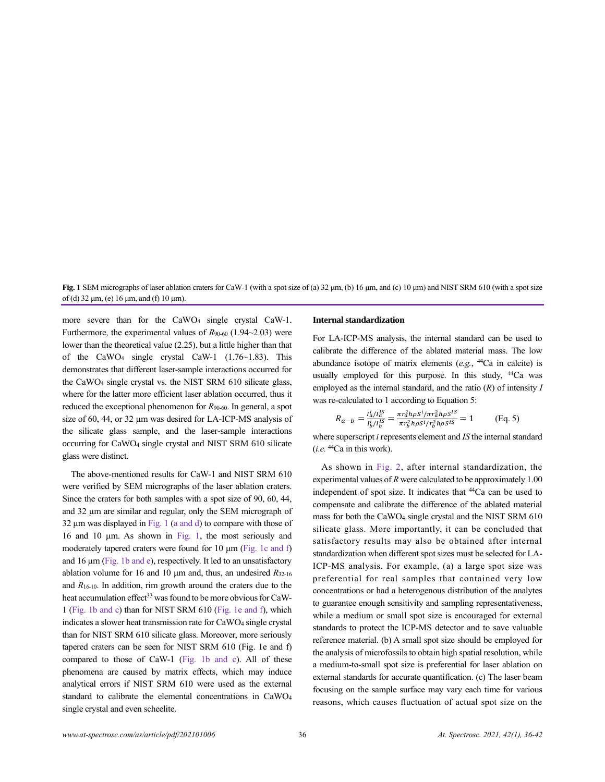**Fig. 1** SEM micrographs of laser ablation craters for CaW-1 (with a spot size of (a) 32 μm, (b) 16 μm, and (c) 10 μm) and NIST SRM 610 (with a spot size of (d) 32 μm, (e) 16 μm, and (f) 10 μm).

more severe than for the CaWO<sup>4</sup> single crystal CaW-1. Furthermore, the experimental values of *R*90-60 (1.94~2.03) were lower than the theoretical value (2.25), but a little higher than that of the CaWO<sub>4</sub> single crystal CaW-1  $(1.76 \sim 1.83)$ . This demonstrates that different laser-sample interactions occurred for the CaWO<sup>4</sup> single crystal vs. the NIST SRM 610 silicate glass, where for the latter more efficient laser ablation occurred, thus it reduced the exceptional phenomenon for *R*90-60. In general, a spot size of 60, 44, or 32 μm was desired for LA-ICP-MS analysis of the silicate glass sample, and the laser-sample interactions occurring for CaWO<sup>4</sup> single crystal and NIST SRM 610 silicate glass were distinct.

The above-mentioned results for CaW-1 and NIST SRM 610 were verified by SEM micrographs of the laser ablation craters. Since the craters for both samples with a spot size of 90, 60, 44, and 32 μm are similar and regular, only the SEM micrograph of 32 μm was displayed in Fig. 1 (a and d) to compare with those of 16 and 10 μm. As shown in Fig. 1, the most seriously and moderately tapered craters were found for 10 μm (Fig. 1c and f) and 16 μm (Fig. 1b and e), respectively. It led to an unsatisfactory ablation volume for 16 and 10 μm and, thus, an undesired *R*32-16 and *R*16-10. In addition, rim growth around the craters due to the heat accumulation effect<sup>33</sup> was found to be more obvious for CaW-1 (Fig. 1b and c) than for NIST SRM 610 (Fig. 1e and f), which indicates a slower heat transmission rate for CaWO<sup>4</sup> single crystal than for NIST SRM 610 silicate glass. Moreover, more seriously tapered craters can be seen for NIST SRM 610 (Fig. 1e and f) compared to those of CaW-1 (Fig. 1b and c). All of these phenomena are caused by matrix effects, which may induce analytical errors if NIST SRM 610 were used as the external standard to calibrate the elemental concentrations in CaWO<sup>4</sup> single crystal and even scheelite.

#### **Internal standardization**

For LA-ICP-MS analysis, the internal standard can be used to calibrate the difference of the ablated material mass. The low abundance isotope of matrix elements  $(e.g., <sup>44</sup>Ca)$  in calcite) is usually employed for this purpose. In this study, <sup>44</sup>Ca was employed as the internal standard, and the ratio (*R*) of intensity *I* was re-calculated to 1 according to Equation 5:

$$
R_{a-b} = \frac{I_a^i / I_a^{IS}}{I_b^i / I_b^{IS}} = \frac{\pi r_a^2 h \rho S^i / \pi r_a^2 h \rho S^{IS}}{\pi r_b^2 h \rho S^i / r_b^2 h \rho S^{IS}} = 1
$$
 (Eq. 5)

where superscript *i* represents element and *IS* the internal standard  $(i.e.$   $44$ Ca in this work).

As shown in Fig. 2, after internal standardization, the experimental values of *R* were calculated to be approximately 1.00 independent of spot size. It indicates that <sup>44</sup>Ca can be used to compensate and calibrate the difference of the ablated material mass for both the CaWO<sup>4</sup> single crystal and the NIST SRM 610 silicate glass. More importantly, it can be concluded that satisfactory results may also be obtained after internal standardization when different spot sizes must be selected for LA-ICP-MS analysis. For example, (a) a large spot size was preferential for real samples that contained very low concentrations or had a heterogenous distribution of the analytes to guarantee enough sensitivity and sampling representativeness, while a medium or small spot size is encouraged for external standards to protect the ICP-MS detector and to save valuable reference material. (b) A small spot size should be employed for the analysis of microfossils to obtain high spatial resolution, while a medium-to-small spot size is preferential for laser ablation on external standards for accurate quantification. (c) The laser beam focusing on the sample surface may vary each time for various reasons, which causes fluctuation of actual spot size on the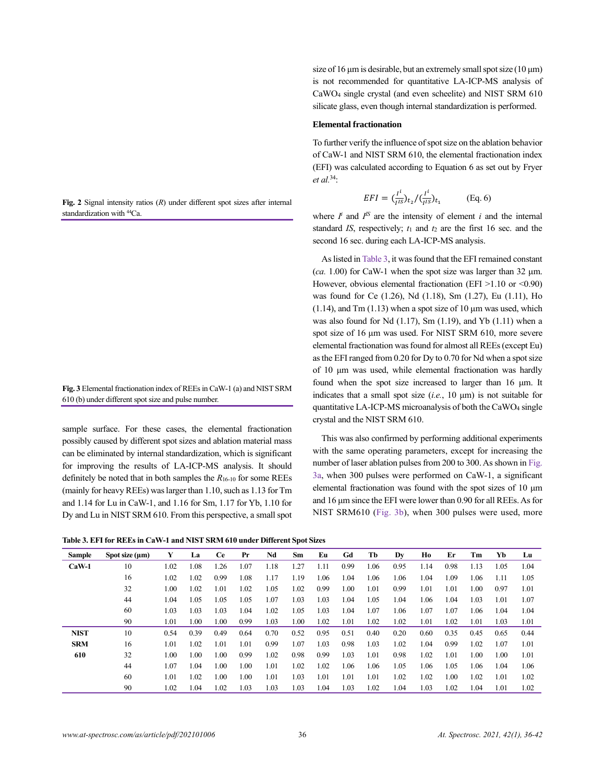**Fig. 2** Signal intensity ratios (*R*) under different spot sizes after internal standardization with <sup>44</sup>Ca.

**Fig. 3** Elemental fractionation index of REEs in CaW-1 (a) and NIST SRM 610 (b) under different spot size and pulse number.

sample surface. For these cases, the elemental fractionation possibly caused by different spot sizes and ablation material mass can be eliminated by internal standardization, which is significant for improving the results of LA-ICP-MS analysis. It should definitely be noted that in both samples the *R*16-10 for some REEs (mainly for heavy REEs) was larger than 1.10, such as 1.13 for Tm and 1.14 for Lu in CaW-1, and 1.16 for Sm, 1.17 for Yb, 1.10 for Dy and Lu in NIST SRM 610. From this perspective, a small spot

**Table 3. EFI for REEs in CaW-1 and NIST SRM 610 under Different Spot Sizes**

| size of 16 $\mu$ m is desirable, but an extremely small spot size (10 $\mu$ m) |
|--------------------------------------------------------------------------------|
| is not recommended for quantitative LA-ICP-MS analysis of                      |
| CaWO <sub>4</sub> single crystal (and even scheelite) and NIST SRM 610         |
| silicate glass, even though internal standardization is performed.             |

#### **Elemental fractionation**

To further verify the influence of spot size on the ablation behavior of CaW-1 and NIST SRM 610, the elemental fractionation index (EFI) was calculated according to Equation 6 as set out by Fryer *et al.*<sup>34</sup>:

$$
EFI = \left(\frac{I^i}{I^{IS}}\right)_{t_2} / \left(\frac{I^i}{I^{IS}}\right)_{t_1}
$$
 (Eq. 6)

where  $I^i$  and  $I^{IS}$  are the intensity of element *i* and the internal standard *IS*, respectively; *t*<sup>1</sup> and *t*<sup>2</sup> are the first 16 sec. and the second 16 sec. during each LA-ICP-MS analysis.

As listed in Table 3, it was found that the EFI remained constant (*ca.* 1.00) for CaW-1 when the spot size was larger than 32 μm. However, obvious elemental fractionation (EFI  $>1.10$  or  $<0.90$ ) was found for Ce (1.26), Nd (1.18), Sm (1.27), Eu (1.11), Ho (1.14), and Tm  $(1.13)$  when a spot size of 10  $\mu$ m was used, which was also found for Nd (1.17), Sm (1.19), and Yb (1.11) when a spot size of 16 μm was used. For NIST SRM 610, more severe elemental fractionation was found for almost all REEs (except Eu) as the EFI ranged from 0.20 for Dy to 0.70 for Nd when a spot size of 10 μm was used, while elemental fractionation was hardly found when the spot size increased to larger than 16 μm. It indicates that a small spot size (*i.e.*, 10 μm) is not suitable for quantitative LA-ICP-MS microanalysis of both the CaWO<sup>4</sup> single crystal and the NIST SRM 610.

This was also confirmed by performing additional experiments with the same operating parameters, except for increasing the number of laser ablation pulses from 200 to 300. As shown in Fig. 3a, when 300 pulses were performed on CaW-1, a significant elemental fractionation was found with the spot sizes of 10 μm and 16 μm since the EFI were lower than 0.90 for all REEs. As for NIST SRM610 (Fig. 3b), when 300 pulses were used, more

| Sample      | Spot size $(\mu m)$ | Y    | La   | <b>Ce</b> | Pr   | Nd   | Sm   | Eu   | Gd   | Tb   | Dv   | Ho   | Er   | Тm   | Yb   | Lu   |
|-------------|---------------------|------|------|-----------|------|------|------|------|------|------|------|------|------|------|------|------|
| $CaW-1$     | 10                  | 1.02 | 1.08 | 1.26      | 1.07 | 1.18 | 1.27 | 1.11 | 0.99 | 1.06 | 0.95 | 1.14 | 0.98 | 1.13 | 1.05 | 1.04 |
|             | 16                  | 1.02 | 1.02 | 0.99      | 1.08 | 1.17 | 1.19 | 1.06 | 1.04 | 1.06 | 1.06 | 1.04 | 1.09 | 1.06 | 1.11 | 1.05 |
|             | 32                  | 1.00 | 1.02 | 1.01      | 1.02 | 1.05 | 1.02 | 0.99 | 1.00 | 1.01 | 0.99 | 1.01 | 1.01 | 1.00 | 0.97 | 1.01 |
|             | 44                  | 1.04 | 1.05 | 1.05      | 1.05 | 1.07 | 1.03 | 1.03 | 1.04 | 1.05 | 1.04 | 1.06 | 1.04 | 1.03 | 1.01 | 1.07 |
|             | 60                  | 1.03 | 1.03 | 1.03      | 1.04 | 1.02 | 1.05 | 1.03 | 1.04 | 1.07 | 1.06 | 1.07 | 1.07 | 1.06 | 1.04 | 1.04 |
|             | 90                  | 1.01 | 1.00 | 1.00      | 0.99 | 1.03 | 1.00 | 1.02 | 1.01 | 1.02 | 1.02 | 1.01 | 1.02 | 1.01 | 1.03 | 1.01 |
| <b>NIST</b> | 10                  | 0.54 | 0.39 | 0.49      | 0.64 | 0.70 | 0.52 | 0.95 | 0.51 | 0.40 | 0.20 | 0.60 | 0.35 | 0.45 | 0.65 | 0.44 |
| <b>SRM</b>  | 16                  | 1.01 | 1.02 | 1.01      | 1.01 | 0.99 | 1.07 | 1.03 | 0.98 | 1.03 | 1.02 | 1.04 | 0.99 | 1.02 | 1.07 | 1.01 |
| 610         | 32                  | 1.00 | 1.00 | 1.00      | 0.99 | 1.02 | 0.98 | 0.99 | 1.03 | 1.01 | 0.98 | 1.02 | 1.01 | 1.00 | 1.00 | 1.01 |
|             | 44                  | 1.07 | 1.04 | 1.00      | 1.00 | 1.01 | 1.02 | 1.02 | 1.06 | 1.06 | 1.05 | 1.06 | 1.05 | 1.06 | 1.04 | 1.06 |
|             | 60                  | 1.01 | 1.02 | 1.00      | 1.00 | 1.01 | 1.03 | 1.01 | 1.01 | 1.01 | 1.02 | 1.02 | 1.00 | 1.02 | 1.01 | 1.02 |
|             | 90                  | 1.02 | 1.04 | 1.02      | 1.03 | 1.03 | 1.03 | 1.04 | 1.03 | 1.02 | 1.04 | 1.03 | 1.02 | 1.04 | 1.01 | 1.02 |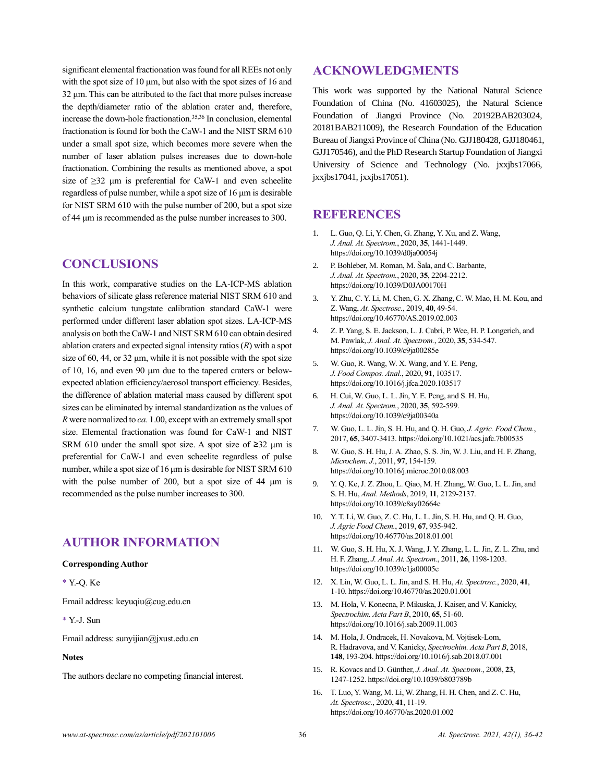significant elemental fractionation was found for all REEs not only with the spot size of 10 μm, but also with the spot sizes of 16 and 32 μm. This can be attributed to the fact that more pulses increase the depth/diameter ratio of the ablation crater and, therefore, increase the down-hole fractionation.35,36 In conclusion, elemental fractionation is found for both the CaW-1 and the NIST SRM 610 under a small spot size, which becomes more severe when the number of laser ablation pulses increases due to down-hole fractionation. Combining the results as mentioned above, a spot size of  $\geq$ 32 µm is preferential for CaW-1 and even scheelite regardless of pulse number, while a spot size of 16 μm is desirable for NIST SRM 610 with the pulse number of 200, but a spot size of 44 μm is recommended as the pulse number increases to 300.

### **CONCLUSIONS**

In this work, comparative studies on the LA-ICP-MS ablation behaviors of silicate glass reference material NIST SRM 610 and synthetic calcium tungstate calibration standard CaW-1 were performed under different laser ablation spot sizes. LA-ICP-MS analysis on both the CaW-1 and NIST SRM 610 can obtain desired ablation craters and expected signal intensity ratios (*R*) with a spot size of 60, 44, or 32 μm, while it is not possible with the spot size of 10, 16, and even 90 μm due to the tapered craters or belowexpected ablation efficiency/aerosol transport efficiency. Besides, the difference of ablation material mass caused by different spot sizes can be eliminated by internal standardization as the values of *R* were normalized to *ca.* 1.00, except with an extremely small spot size. Elemental fractionation was found for CaW-1 and NIST SRM 610 under the small spot size. A spot size of  $\geq 32$  µm is preferential for CaW-1 and even scheelite regardless of pulse number, while a spot size of 16 μm is desirable for NIST SRM 610 with the pulse number of 200, but a spot size of 44 μm is recommended as the pulse number increases to 300.

# **AUTHOR INFORMATION**

#### **Corresponding Author**

\* Y.-Q. Ke

Email address: keyuqiu@cug.edu.cn

\* Y.-J. Sun

Email address: sunyijian@jxust.edu.cn

#### **Notes**

The authors declare no competing financial interest.

# **ACKNOWLEDGMENTS**

This work was supported by the National Natural Science Foundation of China (No. 41603025), the Natural Science Foundation of Jiangxi Province (No. 20192BAB203024, 20181BAB211009), the Research Foundation of the Education Bureau of Jiangxi Province of China (No. GJJ180428, GJJ180461, GJJ170546), and the PhD Research Startup Foundation of Jiangxi University of Science and Technology (No. jxxjbs17066, jxxjbs17041, jxxjbs17051).

## **REFERENCES**

- 1. L. Guo, Q. Li, Y. Chen, G. Zhang, Y. Xu, and Z. Wang, *J. Anal. At. Spectrom.*, 2020, **35**, 1441-1449. https://doi.org/10.1039/d0ja00054j
- 2. P. Bohleber, M. Roman, M. Šala, and C. Barbante, *J. Anal. At. Spectrom.*, 2020, **35**, 2204-2212. https://doi.org/10.1039/D0JA00170H
- 3. Y. Zhu, C. Y. Li, M. Chen, G. X. Zhang, C. W. Mao, H. M. Kou, and Z. Wang, *At. Spectrosc.*, 2019, **40**, 49-54. https://doi.org/10.46770/AS.2019.02.003
- 4. Z. P. Yang, S. E. Jackson, L. J. Cabri, P. Wee, H. P. Longerich, and M. Pawlak, *J. Anal. At. Spectrom.*, 2020, **35**, 534-547. https://doi.org/10.1039/c9ja00285e
- 5. W. Guo, R. Wang, W. X. Wang, and Y. E. Peng, *J. Food Compos. Anal.*, 2020, **91**, 103517. https://doi.org/10.1016/j.jfca.2020.103517
- 6. H. Cui, W. Guo, L. L. Jin, Y. E. Peng, and S. H. Hu, *J. Anal. At. Spectrom.*, 2020, **35**, 592-599. https://doi.org/10.1039/c9ja00340a
- 7. W. Guo, L. L. Jin, S. H. Hu, and Q. H. Guo, *J. Agric. Food Chem.*, 2017, **65**, 3407-3413. https://doi.org/10.1021/acs.jafc.7b00535
- 8. W. Guo, S. H. Hu, J. A. Zhao, S. S. Jin, W. J. Liu, and H. F. Zhang, *Microchem. J.*, 2011, **97**, 154-159. https://doi.org/10.1016/j.microc.2010.08.003
- 9. Y. Q. Ke, J. Z. Zhou, L. Qiao, M. H. Zhang, W. Guo, L. L. Jin, and S. H. Hu, *Anal. Methods*, 2019, **11**, 2129-2137. https://doi.org/10.1039/c8ay02664e
- 10. Y. T. Li, W. Guo, Z. C. Hu, L. L. Jin, S. H. Hu, and Q. H. Guo, *J. Agric Food Chem.*, 2019, **67**, 935-942. https://doi.org/10.46770/as.2018.01.001
- 11. W. Guo, S. H. Hu, X. J. Wang, J. Y. Zhang, L. L. Jin, Z. L. Zhu, and H. F. Zhang, *J. Anal. At. Spectrom.*, 2011, **26**, 1198-1203. https://doi.org/10.1039/c1ja00005e
- 12. X. Lin, W. Guo, L. L. Jin, and S. H. Hu, *At. Spectrosc.*, 2020, **41**, 1-10. https://doi.org/10.46770/as.2020.01.001
- 13. M. Hola, V. Konecna, P. Mikuska, J. Kaiser, and V. Kanicky, *Spectrochim. Acta Part B*, 2010, **65**, 51-60. https://doi.org/10.1016/j.sab.2009.11.003
- 14. M. Hola, J. Ondracek, H. Novakova, M. Vojtisek-Lom, R. Hadravova, and V. Kanicky, *Spectrochim. Acta Part B*, 2018, **148**, 193-204. https://doi.org/10.1016/j.sab.2018.07.001
- 15. R. Kovacs and D. Günther, *J. Anal. At. Spectrom.*, 2008, **23**, 1247-1252. https://doi.org/10.1039/b803789b
- 16. T. Luo, Y. Wang, M. Li, W. Zhang, H. H. Chen, and Z. C. Hu, *At. Spectrosc.*, 2020, **41**, 11-19. https://doi.org/10.46770/as.2020.01.002